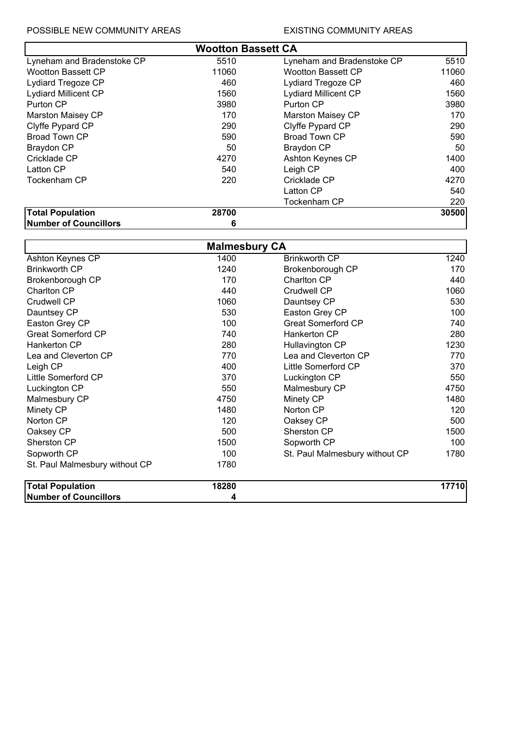## POSSIBLE NEW COMMUNITY AREAS EXISTING COMMUNITY AREAS

|                                | <b>Wootton Bassett CA</b> |                                |       |
|--------------------------------|---------------------------|--------------------------------|-------|
| Lyneham and Bradenstoke CP     | 5510                      | Lyneham and Bradenstoke CP     | 5510  |
| <b>Wootton Bassett CP</b>      | 11060                     | <b>Wootton Bassett CP</b>      | 11060 |
| <b>Lydiard Tregoze CP</b>      | 460                       | <b>Lydiard Tregoze CP</b>      | 460   |
| <b>Lydiard Millicent CP</b>    | 1560                      | <b>Lydiard Millicent CP</b>    | 1560  |
| Purton CP                      | 3980                      | Purton CP                      | 3980  |
| Marston Maisey CP              | 170                       | Marston Maisey CP              | 170   |
| Clyffe Pypard CP               | 290                       | Clyffe Pypard CP               | 290   |
| Broad Town CP                  | 590                       | <b>Broad Town CP</b>           | 590   |
| <b>Braydon CP</b>              | 50                        | <b>Braydon CP</b>              | 50    |
| Cricklade CP                   | 4270                      | Ashton Keynes CP               | 1400  |
| Latton CP                      | 540                       | Leigh CP                       | 400   |
| Tockenham CP                   | 220                       | Cricklade CP                   | 4270  |
|                                |                           | Latton CP                      | 540   |
|                                |                           | Tockenham CP                   | 220   |
| <b>Total Population</b>        | 28700                     |                                | 30500 |
| <b>Number of Councillors</b>   | 6                         |                                |       |
|                                |                           |                                |       |
|                                | <b>Malmesbury CA</b>      |                                |       |
| Ashton Keynes CP               | 1400                      | <b>Brinkworth CP</b>           | 1240  |
| <b>Brinkworth CP</b>           | 1240                      | Brokenborough CP               | 170   |
| Brokenborough CP               | 170                       | Charlton CP                    | 440   |
| Charlton CP                    | 440                       | Crudwell CP                    | 1060  |
| Crudwell CP                    | 1060                      | Dauntsey CP                    | 530   |
| Dauntsey CP                    | 530                       | Easton Grey CP                 | 100   |
| Easton Grey CP                 | 100                       | <b>Great Somerford CP</b>      | 740   |
| <b>Great Somerford CP</b>      | 740                       | Hankerton CP                   | 280   |
| Hankerton CP                   | 280                       | Hullavington CP                | 1230  |
| Lea and Cleverton CP           | 770                       | Lea and Cleverton CP           | 770   |
| Leigh CP                       | 400                       | Little Somerford CP            | 370   |
| Little Somerford CP            | 370                       | Luckington CP                  | 550   |
| Luckington CP                  | 550                       | Malmesbury CP                  | 4750  |
| Malmesbury CP                  | 4750                      | Minety CP                      | 1480  |
| Minety CP                      | 1480                      | Norton CP                      | 120   |
| Norton CP                      | 120                       | Oaksey CP                      | 500   |
| Oaksey CP                      | 500                       | Sherston CP                    | 1500  |
| Sherston CP                    | 1500                      | Sopworth CP                    | 100   |
| Sopworth CP                    | 100                       | St. Paul Malmesbury without CP | 1780  |
| St. Paul Malmesbury without CP | 1780                      |                                |       |
| <b>Total Population</b>        | 18280                     |                                | 17710 |
| <b>Number of Councillors</b>   | 4                         |                                |       |
|                                |                           |                                |       |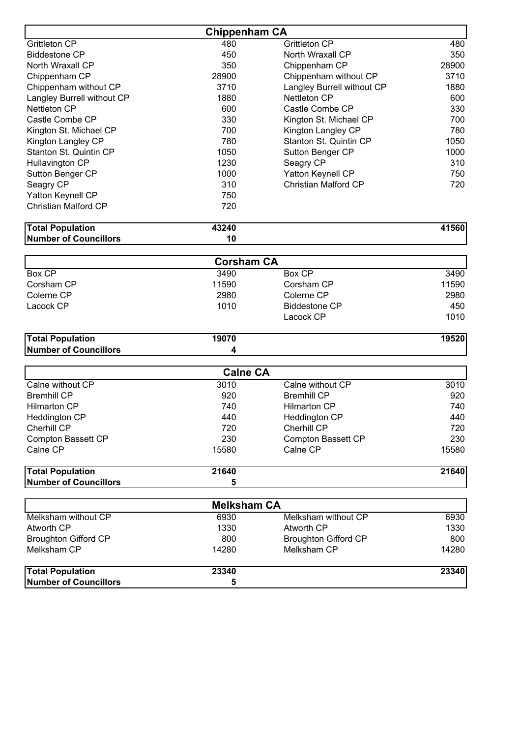|                                            | <b>Chippenham CA</b>       |                                            |              |
|--------------------------------------------|----------------------------|--------------------------------------------|--------------|
| <b>Grittleton CP</b>                       | 480                        | <b>Grittleton CP</b>                       | 480          |
| <b>Biddestone CP</b>                       | 450                        | North Wraxall CP                           | 350          |
| North Wraxall CP                           | 350                        | Chippenham CP                              | 28900        |
| Chippenham CP                              | 28900                      | Chippenham without CP                      | 3710         |
| Chippenham without CP                      | 3710                       | Langley Burrell without CP                 | 1880         |
| Langley Burrell without CP                 | 1880                       | <b>Nettleton CP</b>                        | 600          |
| <b>Nettleton CP</b>                        | 600                        | Castle Combe CP                            | 330          |
| Castle Combe CP                            | 330                        | Kington St. Michael CP                     | 700          |
| Kington St. Michael CP                     | 700                        | Kington Langley CP                         | 780          |
| Kington Langley CP                         | 780                        | Stanton St. Quintin CP                     | 1050         |
| Stanton St. Quintin CP                     | 1050                       | Sutton Benger CP                           | 1000         |
| Hullavington CP                            | 1230                       | Seagry CP                                  | 310          |
| Sutton Benger CP                           | 1000                       | Yatton Keynell CP                          | 750          |
| Seagry CP                                  | 310                        | Christian Malford CP                       | 720          |
| Yatton Keynell CP                          | 750                        |                                            |              |
| <b>Christian Malford CP</b>                | 720                        |                                            |              |
| <b>Total Population</b>                    | 43240                      |                                            | 41560        |
| <b>Number of Councillors</b>               | 10                         |                                            |              |
|                                            |                            |                                            |              |
|                                            | <b>Corsham CA</b>          |                                            |              |
| Box CP                                     | 3490                       | <b>Box CP</b>                              | 3490         |
| Corsham CP                                 | 11590                      | Corsham CP                                 | 11590        |
| Colerne CP                                 | 2980                       | Colerne CP                                 | 2980         |
| Lacock CP                                  | 1010                       | <b>Biddestone CP</b>                       | 450          |
|                                            |                            | Lacock CP                                  | 1010         |
| <b>Total Population</b>                    | 19070                      |                                            | 19520        |
| <b>Number of Councillors</b>               | 4                          |                                            |              |
|                                            |                            |                                            |              |
|                                            | <b>Calne CA</b>            |                                            |              |
| Calne without CP                           | 3010                       | Calne without CP                           | 3010         |
| <b>Bremhill CP</b>                         | 920                        | <b>Bremhill CP</b>                         | 920          |
| <b>Hilmarton CP</b>                        | 740                        | <b>Hilmarton CP</b>                        | 740          |
| Heddington CP                              | 440                        | Heddington CP                              | 440          |
| Cherhill CP                                | 720                        | Cherhill CP                                | 720          |
| Compton Bassett CP                         | 230                        | Compton Bassett CP                         | 230          |
| Calne CP                                   | 15580                      | Calne CP                                   | 15580        |
| <b>Total Population</b>                    | 21640                      |                                            | 21640        |
| <b>Number of Councillors</b>               | 5                          |                                            |              |
|                                            |                            |                                            |              |
| Melksham without CP                        | <b>Melksham CA</b><br>6930 | Melksham without CP                        | 6930         |
| <b>Atworth CP</b>                          | 1330                       | <b>Atworth CP</b>                          | 1330         |
|                                            | 800                        |                                            |              |
| <b>Broughton Gifford CP</b><br>Melksham CP | 14280                      | <b>Broughton Gifford CP</b><br>Melksham CP | 800<br>14280 |
|                                            |                            |                                            |              |
| <b>Total Population</b>                    | 23340                      |                                            | 23340        |
| <b>Number of Councillors</b>               | 5                          |                                            |              |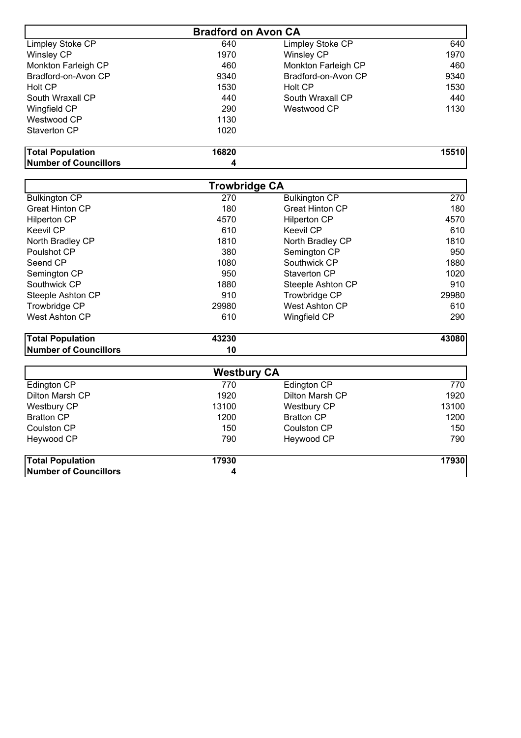| <b>Bradford on Avon CA</b> |       |                     |       |
|----------------------------|-------|---------------------|-------|
| Limpley Stoke CP           | 640   | Limpley Stoke CP    | 640   |
| Winsley CP                 | 1970  | <b>Winsley CP</b>   | 1970  |
| Monkton Farleigh CP        | 460   | Monkton Farleigh CP | 460   |
| Bradford-on-Avon CP        | 9340  | Bradford-on-Avon CP | 9340  |
| Holt CP                    | 1530  | Holt CP             | 1530  |
| South Wraxall CP           | 440   | South Wraxall CP    | 440   |
| Wingfield CP               | 290   | Westwood CP         | 1130  |
| Westwood CP                | 1130  |                     |       |
| Staverton CP               | 1020  |                     |       |
| <b>Total Population</b>    | 16820 |                     | 15510 |
| Number of Councillors      | 4     |                     |       |

| <b>Trowbridge CA</b>         |       |                        |       |
|------------------------------|-------|------------------------|-------|
| <b>Bulkington CP</b>         | 270   | <b>Bulkington CP</b>   | 270   |
| <b>Great Hinton CP</b>       | 180   | <b>Great Hinton CP</b> | 180   |
| <b>Hilperton CP</b>          | 4570  | <b>Hilperton CP</b>    | 4570  |
| Keevil CP                    | 610   | <b>Keevil CP</b>       | 610   |
| North Bradley CP             | 1810  | North Bradley CP       | 1810  |
| Poulshot CP                  | 380   | Semington CP           | 950   |
| Seend CP                     | 1080  | Southwick CP           | 1880  |
| Semington CP                 | 950   | Staverton CP           | 1020  |
| Southwick CP                 | 1880  | Steeple Ashton CP      | 910   |
| Steeple Ashton CP            | 910   | Trowbridge CP          | 29980 |
| Trowbridge CP                | 29980 | <b>West Ashton CP</b>  | 610   |
| <b>West Ashton CP</b>        | 610   | Wingfield CP           | 290   |
| <b>Total Population</b>      | 43230 |                        | 43080 |
| <b>Number of Councillors</b> | 10    |                        |       |

| <b>Westbury CA</b>           |       |                    |       |
|------------------------------|-------|--------------------|-------|
| Edington CP                  | 770   | Edington CP        | 770   |
| Dilton Marsh CP              | 1920  | Dilton Marsh CP    | 1920  |
| <b>Westbury CP</b>           | 13100 | <b>Westbury CP</b> | 13100 |
| <b>Bratton CP</b>            | 1200  | <b>Bratton CP</b>  | 1200  |
| Coulston CP                  | 150   | Coulston CP        | 150   |
| Heywood CP                   | 790   | Heywood CP         | 790   |
| <b>Total Population</b>      | 17930 |                    | 17930 |
| <b>Number of Councillors</b> | 4     |                    |       |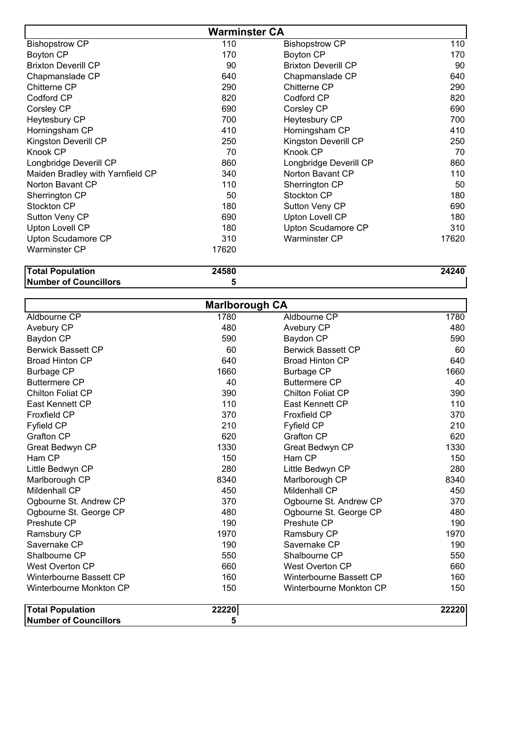| <b>Warminster CA</b>             |       |                            |       |
|----------------------------------|-------|----------------------------|-------|
| <b>Bishopstrow CP</b>            | 110   | <b>Bishopstrow CP</b>      | 110   |
| Boyton CP                        | 170   | Boyton CP                  | 170   |
| <b>Brixton Deverill CP</b>       | 90    | <b>Brixton Deverill CP</b> | 90    |
| Chapmanslade CP                  | 640   | Chapmanslade CP            | 640   |
| Chitterne CP                     | 290   | Chitterne CP               | 290   |
| Codford CP                       | 820   | Codford CP                 | 820   |
| Corsley CP                       | 690   | Corsley CP                 | 690   |
| Heytesbury CP                    | 700   | Heytesbury CP              | 700   |
| Horningsham CP                   | 410   | Horningsham CP             | 410   |
| Kingston Deverill CP             | 250   | Kingston Deverill CP       | 250   |
| Knook CP                         | 70    | Knook CP                   | 70    |
| Longbridge Deverill CP           | 860   | Longbridge Deverill CP     | 860   |
| Maiden Bradley with Yarnfield CP | 340   | Norton Bavant CP           | 110   |
| Norton Bavant CP                 | 110   | Sherrington CP             | 50    |
| Sherrington CP                   | 50    | Stockton CP                | 180   |
| Stockton CP                      | 180   | Sutton Veny CP             | 690   |
| Sutton Veny CP                   | 690   | Upton Lovell CP            | 180   |
| <b>Upton Lovell CP</b>           | 180   | Upton Scudamore CP         | 310   |
| Upton Scudamore CP               | 310   | <b>Warminster CP</b>       | 17620 |
| <b>Warminster CP</b>             | 17620 |                            |       |

Total Population 24580 24240 Number of Councillors 5

| <b>Marlborough CA</b>        |       |                           |       |
|------------------------------|-------|---------------------------|-------|
| Aldbourne CP                 | 1780  | Aldbourne CP              | 1780  |
| Avebury CP                   | 480   | Avebury CP                | 480   |
| Baydon CP                    | 590   | Baydon CP                 | 590   |
| <b>Berwick Bassett CP</b>    | 60    | <b>Berwick Bassett CP</b> | 60    |
| <b>Broad Hinton CP</b>       | 640   | <b>Broad Hinton CP</b>    | 640   |
| <b>Burbage CP</b>            | 1660  | <b>Burbage CP</b>         | 1660  |
| <b>Buttermere CP</b>         | 40    | <b>Buttermere CP</b>      | 40    |
| <b>Chilton Foliat CP</b>     | 390   | <b>Chilton Foliat CP</b>  | 390   |
| <b>East Kennett CP</b>       | 110   | East Kennett CP           | 110   |
| <b>Froxfield CP</b>          | 370   | <b>Froxfield CP</b>       | 370   |
| <b>Fyfield CP</b>            | 210   | <b>Fyfield CP</b>         | 210   |
| <b>Grafton CP</b>            | 620   | <b>Grafton CP</b>         | 620   |
| Great Bedwyn CP              | 1330  | Great Bedwyn CP           | 1330  |
| Ham CP                       | 150   | Ham CP                    | 150   |
| Little Bedwyn CP             | 280   | Little Bedwyn CP          | 280   |
| Marlborough CP               | 8340  | Marlborough CP            | 8340  |
| Mildenhall CP                | 450   | Mildenhall CP             | 450   |
| Ogbourne St. Andrew CP       | 370   | Ogbourne St. Andrew CP    | 370   |
| Ogbourne St. George CP       | 480   | Ogbourne St. George CP    | 480   |
| Preshute CP                  | 190   | Preshute CP               | 190   |
| Ramsbury CP                  | 1970  | Ramsbury CP               | 1970  |
| Savernake CP                 | 190   | Savernake CP              | 190   |
| Shalbourne CP                | 550   | Shalbourne CP             | 550   |
| <b>West Overton CP</b>       | 660   | <b>West Overton CP</b>    | 660   |
| Winterbourne Bassett CP      | 160   | Winterbourne Bassett CP   | 160   |
| Winterbourne Monkton CP      | 150   | Winterbourne Monkton CP   | 150   |
| <b>Total Population</b>      | 22220 |                           | 22220 |
| <b>Number of Councillors</b> | 5     |                           |       |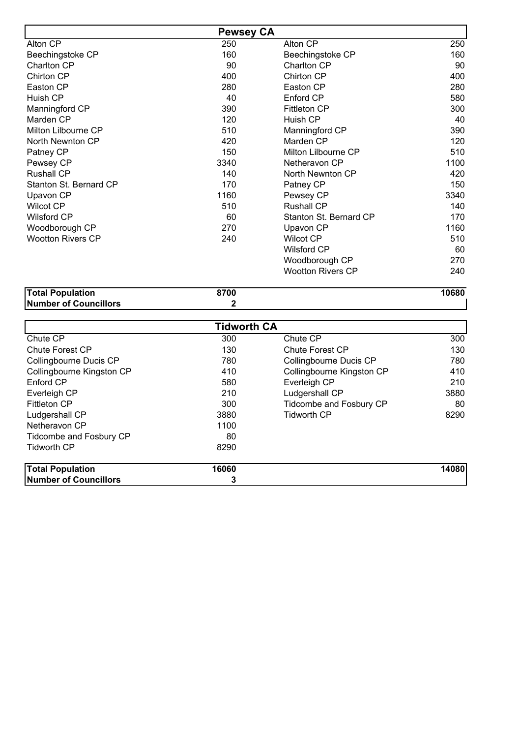| <b>Pewsey CA</b>         |      |                          |      |
|--------------------------|------|--------------------------|------|
| Alton CP                 | 250  | Alton CP                 | 250  |
| Beechingstoke CP         | 160  | Beechingstoke CP         | 160  |
| Charlton CP              | 90   | Charlton CP              | 90   |
| Chirton CP               | 400  | Chirton CP               | 400  |
| Easton CP                | 280  | Easton CP                | 280  |
| Huish CP                 | 40   | Enford CP                | 580  |
| Manningford CP           | 390  | <b>Fittleton CP</b>      | 300  |
| Marden CP                | 120  | Huish CP                 | 40   |
| Milton Lilbourne CP      | 510  | Manningford CP           | 390  |
| North Newnton CP         | 420  | Marden CP                | 120  |
| Patney CP                | 150  | Milton Lilbourne CP      | 510  |
| Pewsey CP                | 3340 | Netheravon CP            | 1100 |
| <b>Rushall CP</b>        | 140  | North Newnton CP         | 420  |
| Stanton St. Bernard CP   | 170  | Patney CP                | 150  |
| Upavon CP                | 1160 | Pewsey CP                | 3340 |
| <b>Wilcot CP</b>         | 510  | <b>Rushall CP</b>        | 140  |
| <b>Wilsford CP</b>       | 60   | Stanton St. Bernard CP   | 170  |
| Woodborough CP           | 270  | Upavon CP                | 1160 |
| <b>Wootton Rivers CP</b> | 240  | <b>Wilcot CP</b>         | 510  |
|                          |      | <b>Wilsford CP</b>       | 60   |
|                          |      | Woodborough CP           | 270  |
|                          |      | <b>Wootton Rivers CP</b> | 240  |

| <b>Total Population</b> | 8700 | 10680 |
|-------------------------|------|-------|
| Number of Councillors   |      |       |

| <b>Tidworth CA</b>           |       |                           |       |
|------------------------------|-------|---------------------------|-------|
| Chute CP                     | 300   | Chute CP                  | 300   |
| Chute Forest CP              | 130   | Chute Forest CP           | 130   |
| Collingbourne Ducis CP       | 780   | Collingbourne Ducis CP    | 780   |
| Collingbourne Kingston CP    | 410   | Collingbourne Kingston CP | 410   |
| Enford CP                    | 580   | Everleigh CP              | 210   |
| Everleigh CP                 | 210   | Ludgershall CP            | 3880  |
| <b>Fittleton CP</b>          | 300   | Tidcombe and Fosbury CP   | 80    |
| Ludgershall CP               | 3880  | <b>Tidworth CP</b>        | 8290  |
| Netheravon CP                | 1100  |                           |       |
| Tidcombe and Fosbury CP      | 80    |                           |       |
| <b>Tidworth CP</b>           | 8290  |                           |       |
| <b>Total Population</b>      | 16060 |                           | 14080 |
| <b>Number of Councillors</b> | 3     |                           |       |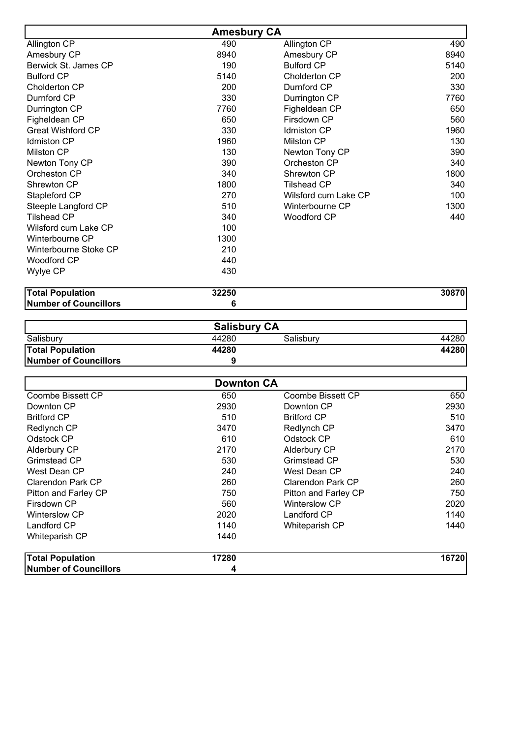| <b>Amesbury CA</b>       |      |                      |      |
|--------------------------|------|----------------------|------|
| Allington CP             | 490  | Allington CP         | 490  |
| Amesbury CP              | 8940 | Amesbury CP          | 8940 |
| Berwick St. James CP     | 190  | <b>Bulford CP</b>    | 5140 |
| <b>Bulford CP</b>        | 5140 | Cholderton CP        | 200  |
| Cholderton CP            | 200  | Durnford CP          | 330  |
| Durnford CP              | 330  | Durrington CP        | 7760 |
| Durrington CP            | 7760 | Figheldean CP        | 650  |
| Figheldean CP            | 650  | Firsdown CP          | 560  |
| <b>Great Wishford CP</b> | 330  | <b>Idmiston CP</b>   | 1960 |
| Idmiston CP              | 1960 | <b>Milston CP</b>    | 130  |
| <b>Milston CP</b>        | 130  | Newton Tony CP       | 390  |
| Newton Tony CP           | 390  | Orcheston CP         | 340  |
| Orcheston CP             | 340  | Shrewton CP          | 1800 |
| Shrewton CP              | 1800 | Tilshead CP          | 340  |
| Stapleford CP            | 270  | Wilsford cum Lake CP | 100  |
| Steeple Langford CP      | 510  | Winterbourne CP      | 1300 |
| Tilshead CP              | 340  | Woodford CP          | 440  |
| Wilsford cum Lake CP     | 100  |                      |      |
| Winterbourne CP          | 1300 |                      |      |
| Winterbourne Stoke CP    | 210  |                      |      |
| <b>Woodford CP</b>       | 440  |                      |      |
| Wylye CP                 | 430  |                      |      |
|                          |      |                      |      |

| <b>Total Population</b> | 32250 | 30870 |
|-------------------------|-------|-------|
| Number of Councillors   |       |       |

| <b>Salisbury CA</b>     |       |           |       |  |  |
|-------------------------|-------|-----------|-------|--|--|
| Salisbury               | 44280 | Salisbury | 44280 |  |  |
| <b>Total Population</b> | 44280 |           | 44280 |  |  |
| Number of Councillors   |       |           |       |  |  |

| <b>Downton CA</b>            |       |                      |       |  |  |
|------------------------------|-------|----------------------|-------|--|--|
| Coombe Bissett CP            | 650   | Coombe Bissett CP    | 650   |  |  |
| Downton CP                   | 2930  | Downton CP           | 2930  |  |  |
| <b>Britford CP</b>           | 510   | <b>Britford CP</b>   | 510   |  |  |
| Redlynch CP                  | 3470  | Redlynch CP          | 3470  |  |  |
| Odstock CP                   | 610   | Odstock CP           | 610   |  |  |
| Alderbury CP                 | 2170  | Alderbury CP         | 2170  |  |  |
| Grimstead CP                 | 530   | Grimstead CP         | 530   |  |  |
| West Dean CP                 | 240   | West Dean CP         | 240   |  |  |
| Clarendon Park CP            | 260   | Clarendon Park CP    | 260   |  |  |
| Pitton and Farley CP         | 750   | Pitton and Farley CP | 750   |  |  |
| Firsdown CP                  | 560   | <b>Winterslow CP</b> | 2020  |  |  |
| <b>Winterslow CP</b>         | 2020  | Landford CP          | 1140  |  |  |
| Landford CP                  | 1140  | Whiteparish CP       | 1440  |  |  |
| Whiteparish CP               | 1440  |                      |       |  |  |
| <b>Total Population</b>      | 17280 |                      | 16720 |  |  |
| <b>Number of Councillors</b> | 4     |                      |       |  |  |